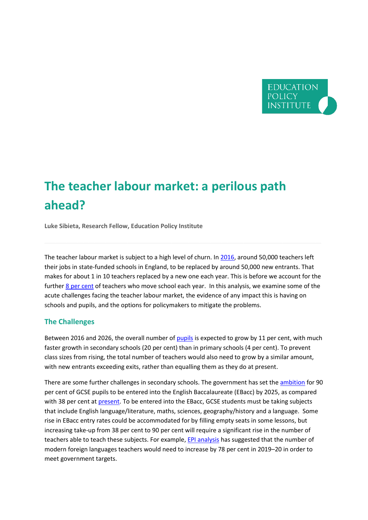

# **The teacher labour market: a perilous path ahead?**

**Luke Sibieta, Research Fellow, Education Policy Institute** 

The teacher labour market is subject to a high level of churn. I[n 2016,](https://www.gov.uk/government/statistics/school-workforce-in-england-november-2016) around 50,000 teachers left their jobs in state-funded schools in England, to be replaced by around 50,000 new entrants. That makes for about 1 in 10 teachers replaced by a new one each year. This is before we account for the further 8 [per cent](https://www.nfer.ac.uk/publications/NUFS03/NUFS03.pdf) of teachers who move school each year. In this analysis, we examine some of the acute challenges facing the teacher labour market, the evidence of any impact this is having on schools and pupils, and the options for policymakers to mitigate the problems.

#### **The Challenges**

Between 2016 and 2026, the overall number o[f pupils](https://www.gov.uk/government/statistics/national-pupil-projections-july-2017) is expected to grow by 11 per cent, with much faster growth in secondary schools (20 per cent) than in primary schools (4 per cent). To prevent class sizes from rising, the total number of teachers would also need to grow by a similar amount, with new entrants exceeding exits, rather than equalling them as they do at present.

There are some further challenges in secondary schools. The government has set the [ambition](https://www.gov.uk/government/publications/english-baccalaureate-ebacc/english-baccalaureate-ebacc) for 90 per cent of GCSE pupils to be entered into the English Baccalaureate (EBacc) by 2025, as compared with 38 per cent at [present.](https://www.gov.uk/government/uploads/system/uploads/attachment_data/file/653532/SFR57_2017.pdf) To be entered into the EBacc, GCSE students must be taking subjects that include English language/literature, maths, sciences, geography/history and a language. Some rise in EBacc entry rates could be accommodated for by filling empty seats in some lessons, but increasing take-up from 38 per cent to 90 per cent will require a significant rise in the number of teachers able to teach these subjects. For example[, EPI analysis](https://epi.org.uk/publications-and-research/analysis-challenge-navigating-teacher-recruitment-pay-curriculum-choices/) has suggested that the number of modern foreign languages teachers would need to increase by 78 per cent in 2019–20 in order to meet government targets.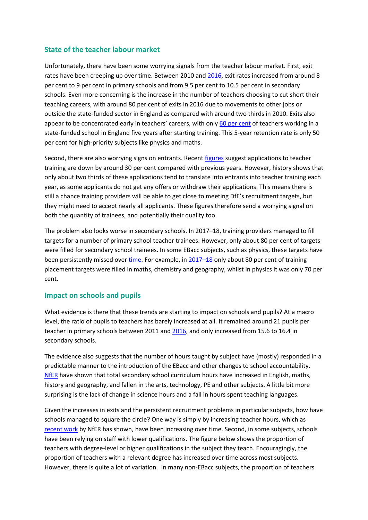### **State of the teacher labour market**

Unfortunately, there have been some worrying signals from the teacher labour market. First, exit rates have been creeping up over time. Between 2010 and [2016,](https://www.gov.uk/government/statistics/school-workforce-in-england-november-2016) exit rates increased from around 8 per cent to 9 per cent in primary schools and from 9.5 per cent to 10.5 per cent in secondary schools. Even more concerning is the increase in the number of teachers choosing to cut short their teaching careers, with around 80 per cent of exits in 2016 due to movements to other jobs or outside the state-funded sector in England as compared with around two thirds in 2010. Exits also appear to be concentrated early in teachers' careers, with only 60 [per cent](https://www.ifs.org.uk/publications/8368) of teachers working in a state-funded school in England five years after starting training. This 5-year retention rate is only 50 per cent for high-priority subjects like physics and maths.

Second, there are also worrying signs on entrants. Recent [figures](https://www.ucas.com/corporate/data-and-analysis/ucas-teacher-training-statistical-releases) suggest applications to teacher training are down by around 30 per cent compared with previous years. However, history shows that only about two thirds of these applications tend to translate into entrants into teacher training each year, as some applicants do not get any offers or withdraw their applications. This means there is still a chance training providers will be able to get close to meeting DfE's recruitment targets, but they might need to accept nearly all applicants. These figures therefore send a worrying signal on both the quantity of trainees, and potentially their quality too.

The problem also looks worse in secondary schools. In 2017–18, training providers managed to fill targets for a number of primary school teacher trainees. However, only about 80 per cent of targets were filled for secondary school trainees. In some EBacc subjects, such as physics, these targets have been persistently missed over [time.](https://www.nao.org.uk/report/training-new-teachers/) For example, in [2017](https://www.gov.uk/government/uploads/system/uploads/attachment_data/file/663141/SFR68_2017_Text.pdf)-18 only about 80 per cent of training placement targets were filled in maths, chemistry and geography, whilst in physics it was only 70 per cent.

#### **Impact on schools and pupils**

What evidence is there that these trends are starting to impact on schools and pupils? At a macro level, the ratio of pupils to teachers has barely increased at all. It remained around 21 pupils per teacher in primary schools between 2011 an[d 2016,](https://www.gov.uk/government/statistics/school-workforce-in-england-november-2016) and only increased from 15.6 to 16.4 in secondary schools.

The evidence also suggests that the number of hours taught by subject have (mostly) responded in a predictable manner to the introduction of the EBacc and other changes to school accountability. [NfER](https://www.nfer.ac.uk/publications/NUFS01/NUFS01.pdf) have shown that total secondary school curriculum hours have increased in English, maths, history and geography, and fallen in the arts, technology, PE and other subjects. A little bit more surprising is the lack of change in science hours and a fall in hours spent teaching languages.

Given the increases in exits and the persistent recruitment problems in particular subjects, how have schools managed to square the circle? One way is simply by increasing teacher hours, which as [recent work](https://www.nfer.ac.uk/publications/NUFS05/NUFS05.pdf) by NfER has shown, have been increasing over time. Second, in some subjects, schools have been relying on staff with lower qualifications. The figure below shows the proportion of teachers with degree-level or higher qualifications in the subject they teach. Encouragingly, the proportion of teachers with a relevant degree has increased over time across most subjects. However, there is quite a lot of variation. In many non-EBacc subjects, the proportion of teachers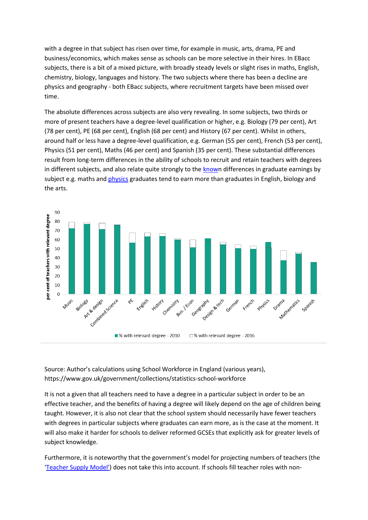with a degree in that subject has risen over time, for example in music, arts, drama, PE and business/economics, which makes sense as schools can be more selective in their hires. In EBacc subjects, there is a bit of a mixed picture, with broadly steady levels or slight rises in maths, English, chemistry, biology, languages and history. The two subjects where there has been a decline are physics and geography - both EBacc subjects, where recruitment targets have been missed over time.

The absolute differences across subjects are also very revealing. In some subjects, two thirds or more of present teachers have a degree-level qualification or higher, e.g. Biology (79 per cent), Art (78 per cent), PE (68 per cent), English (68 per cent) and History (67 per cent). Whilst in others, around half or less have a degree-level qualification, e.g. German (55 per cent), French (53 per cent), Physics (51 per cent), Maths (46 per cent) and Spanish (35 per cent). These substantial differences result from long-term differences in the ability of schools to recruit and retain teachers with degrees in different subjects, and also relate quite strongly to the [known](https://www.ifs.org.uk/publications/8235) differences in graduate earnings by subject e.g. maths and [physics](http://www.gatsby.org.uk/uploads/education/ifs-the-characteristics-of-and-earnings-and-outcomes-for-physics-teachers.pdf) graduates tend to earn more than graduates in English, biology and the arts.



Source: Author's calculations using School Workforce in England (various years), https://www.gov.uk/government/collections/statistics-school-workforce

It is not a given that all teachers need to have a degree in a particular subject in order to be an effective teacher, and the benefits of having a degree will likely depend on the age of children being taught. However, it is also not clear that the school system should necessarily have fewer teachers with degrees in particular subjects where graduates can earn more, as is the case at the moment. It will also make it harder for schools to deliver reformed GCSEs that explicitly ask for greater levels of subject knowledge.

Furthermore, it is noteworthy that the government's model for projecting numbers of teachers (the ['Teacher Supply Model'](https://www.gov.uk/government/statistics/teacher-supply-model-2017-to-2018)) does not take this into account. If schools fill teacher roles with non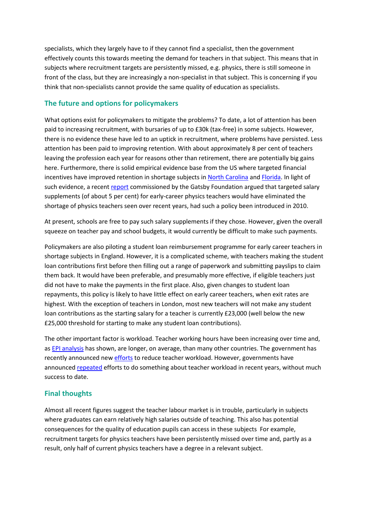specialists, which they largely have to if they cannot find a specialist, then the government effectively counts this towards meeting the demand for teachers in that subject. This means that in subjects where recruitment targets are persistently missed, e.g. physics, there is still someone in front of the class, but they are increasingly a non-specialist in that subject. This is concerning if you think that non-specialists cannot provide the same quality of education as specialists.

## **The future and options for policymakers**

What options exist for policymakers to mitigate the problems? To date, a lot of attention has been paid to increasing recruitment, with bursaries of up to £30k (tax-free) in some subjects. However, there is no evidence these have led to an uptick in recruitment, where problems have persisted. Less attention has been paid to improving retention. With about approximately 8 per cent of teachers leaving the profession each year for reasons other than retirement, there are potentially big gains here. Furthermore, there is solid empirical evidence base from the US where targeted financial incentives have improved retention in shortage subjects in [North Carolina](http://journals.sagepub.com/doi/abs/10.1177/1091142106291662) an[d Florida.](https://onlinelibrary.wiley.com/doi/full/10.1002/pam.22037) In light of such evidence, a recen[t report](http://www.gatsby.org.uk/education/latest/examine-pay-of-early-career-shortage-subject-teachers-to-effectively-tackle-retention-in-english-secondary-schools) commissioned by the Gatsby Foundation argued that targeted salary supplements (of about 5 per cent) for early-career physics teachers would have eliminated the shortage of physics teachers seen over recent years, had such a policy been introduced in 2010.

At present, schools are free to pay such salary supplements if they chose. However, given the overall squeeze on teacher pay and school budgets, it would currently be difficult to make such payments.

Policymakers are also piloting a student loan reimbursement programme for early career teachers in shortage subjects in England. However, it is a complicated scheme, with teachers making the student loan contributions first before then filling out a range of paperwork and submitting payslips to claim them back. It would have been preferable, and presumably more effective, if eligible teachers just did not have to make the payments in the first place. Also, given changes to student loan repayments, this policy is likely to have little effect on early career teachers, when exit rates are highest. With the exception of teachers in London, most new teachers will not make any student loan contributions as the starting salary for a teacher is currently £23,000 (well below the new £25,000 threshold for starting to make any student loan contributions).

The other important factor is workload. Teacher working hours have been increasing over time and, as [EPI analysis](https://epi.org.uk/wp-content/uploads/2018/01/TeacherWorkload_EPI.pdf) has shown, are longer, on average, than many other countries. The government has recently announced new [efforts](https://www.gov.uk/government/publications/reducing-teachers-workload/reducing-teachers-workload) to reduce teacher workload. However, governments have announce[d repeated](https://www.gov.uk/government/publications/workload-challenge-analysis-of-teacher-responses) efforts to do something about teacher workload in recent years, without much success to date.

## **Final thoughts**

Almost all recent figures suggest the teacher labour market is in trouble, particularly in subjects where graduates can earn relatively high salaries outside of teaching. This also has potential consequences for the quality of education pupils can access in these subjects For example, recruitment targets for physics teachers have been persistently missed over time and, partly as a result, only half of current physics teachers have a degree in a relevant subject.